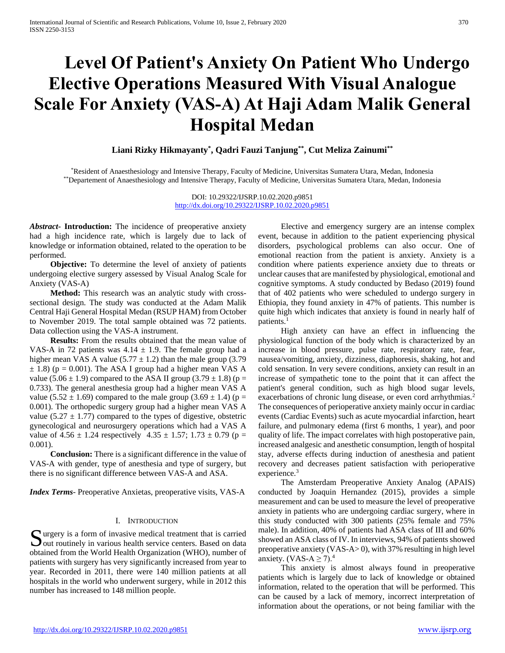# **Level Of Patient's Anxiety On Patient Who Undergo Elective Operations Measured With Visual Analogue Scale For Anxiety (VAS-A) At Haji Adam Malik General Hospital Medan**

**Liani Rizky Hikmayanty\* , Qadri Fauzi Tanjung\*\*, Cut Meliza Zainumi\*\***

\*Resident of Anaesthesiology and Intensive Therapy, Faculty of Medicine, Universitas Sumatera Utara, Medan, Indonesia \*\*Departement of Anaesthesiology and Intensive Therapy, Faculty of Medicine, Universitas Sumatera Utara, Medan, Indonesia

> DOI: 10.29322/IJSRP.10.02.2020.p9851 <http://dx.doi.org/10.29322/IJSRP.10.02.2020.p9851>

*Abstract***- Introduction:** The incidence of preoperative anxiety had a high incidence rate, which is largely due to lack of knowledge or information obtained, related to the operation to be performed.

 **Objective:** To determine the level of anxiety of patients undergoing elective surgery assessed by Visual Analog Scale for Anxiety (VAS-A)

 **Method:** This research was an analytic study with crosssectional design. The study was conducted at the Adam Malik Central Haji General Hospital Medan (RSUP HAM) from October to November 2019. The total sample obtained was 72 patients. Data collection using the VAS-A instrument.

 **Results:** From the results obtained that the mean value of VAS-A in 72 patients was  $4.14 \pm 1.9$ . The female group had a higher mean VAS A value (5.77  $\pm$  1.2) than the male group (3.79  $\pm$  1.8) (p = 0.001). The ASA I group had a higher mean VAS A value (5.06  $\pm$  1.9) compared to the ASA II group (3.79  $\pm$  1.8) (p = 0.733). The general anesthesia group had a higher mean VAS A value (5.52  $\pm$  1.69) compared to the male group (3.69  $\pm$  1.4) (p = 0.001). The orthopedic surgery group had a higher mean VAS A value (5.27  $\pm$  1.77) compared to the types of digestive, obstetric gynecological and neurosurgery operations which had a VAS A value of  $4.56 \pm 1.24$  respectively  $4.35 \pm 1.57$ ;  $1.73 \pm 0.79$  (p = 0.001).

 **Conclusion:** There is a significant difference in the value of VAS-A with gender, type of anesthesia and type of surgery, but there is no significant difference between VAS-A and ASA.

*Index Terms*- Preoperative Anxietas, preoperative visits, VAS-A

### I. INTRODUCTION

urgery is a form of invasive medical treatment that is carried Surgery is a form of invasive medical treatment that is carried<br>out routinely in various health service centers. Based on data obtained from the World Health Organization (WHO), number of patients with surgery has very significantly increased from year to year. Recorded in 2011, there were 140 million patients at all hospitals in the world who underwent surgery, while in 2012 this number has increased to 148 million people.

 Elective and emergency surgery are an intense complex event, because in addition to the patient experiencing physical disorders, psychological problems can also occur. One of emotional reaction from the patient is anxiety. Anxiety is a condition where patients experience anxiety due to threats or unclear causes that are manifested by physiological, emotional and cognitive symptoms. A study conducted by Bedaso (2019) found that of 402 patients who were scheduled to undergo surgery in Ethiopia, they found anxiety in 47% of patients. This number is quite high which indicates that anxiety is found in nearly half of patients.<sup>1</sup>

 High anxiety can have an effect in influencing the physiological function of the body which is characterized by an increase in blood pressure, pulse rate, respiratory rate, fear, nausea/vomiting, anxiety, dizziness, diaphoresis, shaking, hot and cold sensation. In very severe conditions, anxiety can result in an increase of sympathetic tone to the point that it can affect the patient's general condition, such as high blood sugar levels, exacerbations of chronic lung disease, or even cord arrhythmias.<sup>2</sup> The consequences of perioperative anxiety mainly occur in cardiac events (Cardiac Events) such as acute myocardial infarction, heart failure, and pulmonary edema (first 6 months, 1 year), and poor quality of life. The impact correlates with high postoperative pain, increased analgesic and anesthetic consumption, length of hospital stay, adverse effects during induction of anesthesia and patient recovery and decreases patient satisfaction with perioperative experience.<sup>3</sup>

 The Amsterdam Preoperative Anxiety Analog (APAIS) conducted by Joaquin Hernandez (2015), provides a simple measurement and can be used to measure the level of preoperative anxiety in patients who are undergoing cardiac surgery, where in this study conducted with 300 patients (25% female and 75% male). In addition, 40% of patients had ASA class of III and 60% showed an ASA class of IV. In interviews, 94% of patients showed preoperative anxiety (VAS-A> 0), with 37% resulting in high level anxiety. (VAS-A  $\geq$  7).<sup>4</sup>

 This anxiety is almost always found in preoperative patients which is largely due to lack of knowledge or obtained information, related to the operation that will be performed. This can be caused by a lack of memory, incorrect interpretation of information about the operations, or not being familiar with the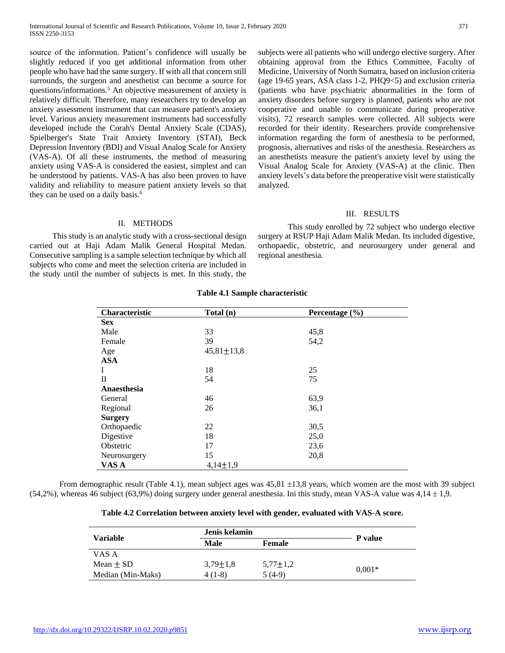source of the information. Patient's confidence will usually be slightly reduced if you get additional information from other people who have had the same surgery. If with all that concern still surrounds, the surgeon and anesthetist can become a source for questions/informations.<sup>5</sup> An objective measurement of anxiety is relatively difficult. Therefore, many researchers try to develop an anxiety assessment instrument that can measure patient's anxiety level. Various anxiety measurement instruments had successfully developed include the Corah's Dental Anxiety Scale (CDAS), Spielberger's State Trait Anxiety Inventory (STAI), Beck Depression Inventory (BDI) and Visual Analog Scale for Anxiety (VAS-A). Of all these instruments, the method of measuring anxiety using VAS-A is considered the easiest, simplest and can be understood by patients. VAS-A has also been proven to have validity and reliability to measure patient anxiety levels so that they can be used on a daily basis.<sup>6</sup>

subjects were all patients who will undergo elective surgery. After obtaining approval from the Ethics Committee, Faculty of Medicine, University of North Sumatra, based on inclusion criteria (age 19-65 years, ASA class 1-2, PHQ9<5) and exclusion criteria (patients who have psychiatric abnormalities in the form of anxiety disorders before surgery is planned, patients who are not cooperative and unable to communicate during preoperative visits), 72 research samples were collected. All subjects were recorded for their identity. Researchers provide comprehensive information regarding the form of anesthesia to be performed, prognosis, alternatives and risks of the anesthesia. Researchers as an anesthetists measure the patient's anxiety level by using the Visual Analog Scale for Anxiety (VAS-A) at the clinic. Then anxiety levels's data before the preoperative visit were statistically analyzed.

## III. RESULTS

# II. METHODS

 This study is an analytic study with a cross-sectional design carried out at Haji Adam Malik General Hospital Medan. Consecutive sampling is a sample selection technique by which all subjects who come and meet the selection criteria are included in the study until the number of subjects is met. In this study, the

This study enrolled by 72 subject who undergo elective surgery at RSUP Haji Adam Malik Medan. Its included digestive, orthopaedic, obstetric, and neurosurgery under general and regional anesthesia.

| Characteristic | Total (n)        | Percentage (%) |
|----------------|------------------|----------------|
| <b>Sex</b>     |                  |                |
| Male           | 33               | 45,8           |
| Female         | 39               | 54,2           |
| Age            | $45,81 \pm 13,8$ |                |
| <b>ASA</b>     |                  |                |
| I              | 18               | 25             |
| $_{\rm II}$    | 54               | 75             |
| Anaesthesia    |                  |                |
| General        | 46               | 63,9           |
| Regional       | 26               | 36,1           |
| <b>Surgery</b> |                  |                |
| Orthopaedic    | 22               | 30,5           |
| Digestive      | 18               | 25,0           |
| Obstetric      | 17               | 23,6           |
| Neurosurgery   | 15               | 20,8           |
| VAS A          | $4,14 \pm 1,9$   |                |

# **Table 4.1 Sample characteristic**

From demographic result (Table 4.1), mean subject ages was  $45,81 \pm 13,8$  years, which women are the most with 39 subject  $(54,2\%)$ , whereas 46 subject  $(63,9\%)$  doing surgery under general anesthesia. Ini this study, mean VAS-A value was  $4,14 \pm 1,9$ .

| Table 4.2 Correlation between anxiety level with gender, evaluated with VAS-A score. |  |  |
|--------------------------------------------------------------------------------------|--|--|
|                                                                                      |  |  |

|                   |                | Jenis kelamin  |          |
|-------------------|----------------|----------------|----------|
| <b>Variable</b>   | Male           | <b>Female</b>  | P value  |
| VAS A             |                |                |          |
| $Mean + SD$       | $3.79 \pm 1.8$ | $5,77 \pm 1,2$ |          |
| Median (Min-Maks) | $4(1-8)$       | $5(4-9)$       | $0.001*$ |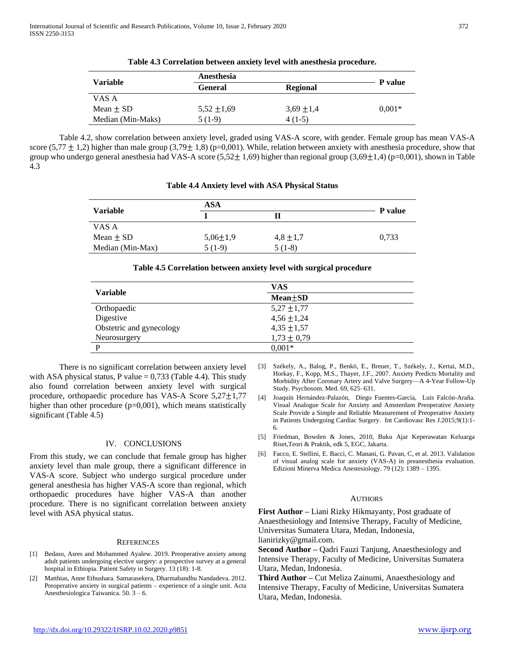|                   | Anesthesia      |                |          |
|-------------------|-----------------|----------------|----------|
| <b>Variable</b>   | <b>General</b>  | Regional       | P value  |
| VAS A             |                 |                |          |
| Mean $\pm$ SD     | $5.52 \pm 1.69$ | $3,69 \pm 1,4$ | $0.001*$ |
| Median (Min-Maks) | $5(1-9)$        | $4(1-5)$       |          |

| Table 4.3 Correlation between anxiety level with anesthesia procedure. |  |  |
|------------------------------------------------------------------------|--|--|
|                                                                        |  |  |

Table 4.2, show correlation between anxiety level, graded using VAS-A score, with gender. Female group has mean VAS-A score (5,77  $\pm$  1,2) higher than male group (3,79 $\pm$  1,8) (p=0,001). While, relation between anxiety with anesthesia procedure, show that group who undergo general anesthesia had VAS-A score  $(5,52\pm 1,69)$  higher than regional group  $(3,69\pm 1,4)$  (p=0,001), shown in Table 4.3

|                  | <b>ASA</b>     |               |                |
|------------------|----------------|---------------|----------------|
| <b>Variable</b>  |                | П             | <b>P</b> value |
| VAS A            |                |               |                |
| Mean $\pm$ SD    | $5,06 \pm 1,9$ | $4,8 \pm 1,7$ | 0,733          |
| Median (Min-Max) | $5(1-9)$       | $5(1-8)$      |                |

|                          | <b>VAS</b>      |  |  |
|--------------------------|-----------------|--|--|
| <b>Variable</b>          | $Mean \pm SD$   |  |  |
| Orthopaedic              | $5,27 \pm 1,77$ |  |  |
| Digestive                | $4,56 \pm 1,24$ |  |  |
| Obstetric and gynecology | $4,35 \pm 1,57$ |  |  |
| Neurosurgery             | $1,73 \pm 0,79$ |  |  |
| P                        | $0.001*$        |  |  |

There is no significant correlation between anxiety level with ASA physical status, P value  $= 0,733$  (Table 4.4). This study also found correlation between anxiety level with surgical procedure, orthopaedic procedure has VAS-A Score  $5,27\pm1,77$ higher than other procedure (p=0,001), which means statistically significant (Table 4.5)

# IV. CONCLUSIONS

From this study, we can conclude that female group has higher anxiety level than male group, there a significant difference in VAS-A score. Subject who undergo surgical procedure under general anesthesia has higher VAS-A score than regional, which orthopaedic procedures have higher VAS-A than another procedure. There is no significant correlation between anxiety level with ASA physical status.

### **REFERENCES**

- [1] Bedaso, Asres and Mohammed Ayalew. 2019. Preoperative anxiety among adult patients undergoing elective surgery: a prospective survey at a general hospital in Ethiopia. Patient Safety in Surgery. 13 (18): 1-8.
- [2] Matthias, Anne Ethushara. Samarasekera, Dharmabandhu Nandadeva. 2012. Preoperative anxiety in surgical patients – experience of a single unit. Acta Anesthesiologica Taiwanica. 50. 3 – 6.
- [3] Székely, A., Balog, P., Benkö, E., Breuer, T., Székely, J., Kertai, M.D., Horkay, F., Kopp, M.S., Thayer, J.F., 2007. Anxiety Predicts Mortality and Morbidity After Coronary Artery and Valve Surgery—A 4-Year Follow-Up Study. Psychosom. Med. 69, 625–631.
- [4] Joaquín Hernández-Palazón, Diego Fuentes-García, Luis Falcón-Araña. Visual Analogue Scale for Anxiety and Amsterdam Preoperative Anxiety Scale Provide a Simple and Reliable Measurement of Preoperative Anxiety in Patients Undergoing Cardiac Surgery. Int Cardiovasc Res J.2015;9(1):1- 6.
- [5] Friedman, Bowden & Jones, 2010, Buku Ajar Keperawatan Keluarga Riset,Teori & Praktik, edk 5, EGC, Jakarta.
- [6] Facco, E. Stellini, E. Bacci, C. Manani, G. Pavan, C, et al. 2013. Validation of visual analog scale for anxiety (VAS-A) in preanesthesia evaluation. Edizioni Minerva Medica Anestesiology. 79 (12): 1389 – 1395.

### **AUTHORS**

**First Author –** Liani Rizky Hikmayanty, Post graduate of Anaesthesiology and Intensive Therapy, Faculty of Medicine, Universitas Sumatera Utara, Medan, Indonesia, lianirizky@gmail.com.

**Second Author –** Qadri Fauzi Tanjung, Anaesthesiology and Intensive Therapy, Faculty of Medicine, Universitas Sumatera Utara, Medan, Indonesia.

**Third Author –** Cut Meliza Zainumi, Anaesthesiology and Intensive Therapy, Faculty of Medicine, Universitas Sumatera Utara, Medan, Indonesia.